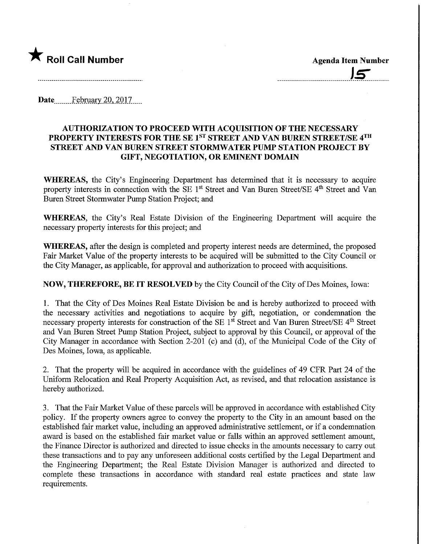

Date February 20, 2017

## AUTHORIZATION TO PROCEED WITH ACQUISITION OF THE NECESSARY PROPERTY INTERESTS FOR THE SE 1<sup>ST</sup> STREET AND VAN BUREN STREET/SE 4<sup>TH</sup> STREET AND VAN BUREN STREET STORMWATER PUMP STATION PROJECT BY GIFT, NEGOTIATION, OR EMINENT DOMAIN

WHEREAS, the City's Engineering Department has determined that it is necessary to acquire property interests in connection with the SE 1<sup>st</sup> Street and Van Buren Street/SE 4<sup>th</sup> Street and Van Buren Street Stormwater Pump Station Project; and

WHEREAS, the City's Real Estate Division of the Engineering Department will acquire the necessary property interests for this project; and

WHEREAS, after the design is completed and property interest needs are determined, the proposed Fair Market Value of the property interests to be acquired will be submitted to the City Council or the City Manager, as applicable, for approval and authorization to proceed with acquisitions.

NOW, THEREFORE, BE IT RESOLVED by the City Council of the City of Des Moines, Iowa:

1. That the City of Des Moines Real Estate Division be and is hereby authorized to proceed with the necessary activities and negotiations to acquire by gift, negotiation, or condemnation the necessary property interests for construction of the SE 1<sup>st</sup> Street and Van Buren Street/SE 4<sup>th</sup> Street and Van Buren Street Pump Station Project, subject to approval by this Council, or approval of the City Manager in accordance with Section 2-201 (c) and (d), of the Municipal Code of the City of Des Moines, Iowa, as applicable.

2. That the property will be acquired m accordance with the guidelines of 49 CFR Part 24 of the Uniform Relocation and Real Property Acquisition Act, as revised, and that relocation assistance is hereby authorized.

3. That the Fair Market Value of these parcels will be approved in accordance with established City policy. If the property owners agree to convey the property to the City in an amount based on the established fair market value, including an approved administrative settlement, or if a condemnation award is based on the established fair market value or falls within an approved settlement amount, the Finance Director is authorized and directed to issue checks in the amounts necessary to carry out these transactions and to pay any unforeseen additional costs certified by the Legal Department and the Engineering Department; the Real Estate Division Manager is authorized and directed to complete these transactions in accordance with standard real estate practices and state law requirements.